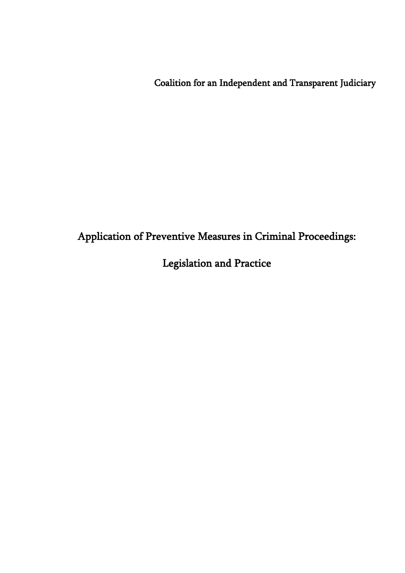Coalition for an Independent and Transparent Judiciary

# Application of Preventive Measures in Criminal Proceedings:

# Legislation and Practice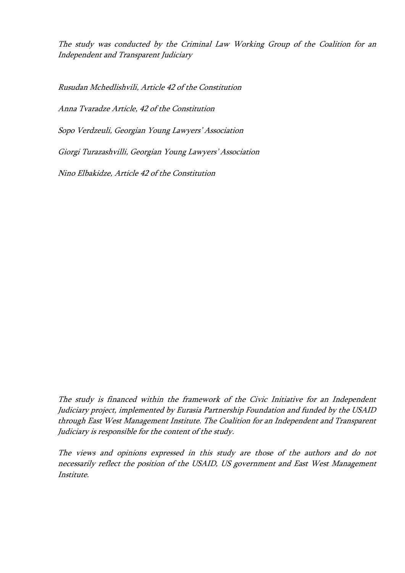The study was conducted by the Criminal Law Working Group of the Coalition for an Independent and Transparent Judiciary

Rusudan Mchedlishvili, Article 42 of the Constitution

Anna Tvaradze Article, 42 of the Constitution

Sopo Verdzeuli, Georgian Young Lawyers' Association

Giorgi Turazashvilli, Georgian Young Lawyers' Association

Nino Elbakidze, Article 42 of the Constitution

The study is financed within the framework of the Civic Initiative for an Independent Judiciary project, implemented by Eurasia Partnership Foundation and funded by the USAID through East West Management Institute. The Coalition for an Independent and Transparent Judiciary is responsible for the content of the study.

The views and opinions expressed in this study are those of the authors and do not necessarily reflect the position of the USAID, US government and East West Management Institute.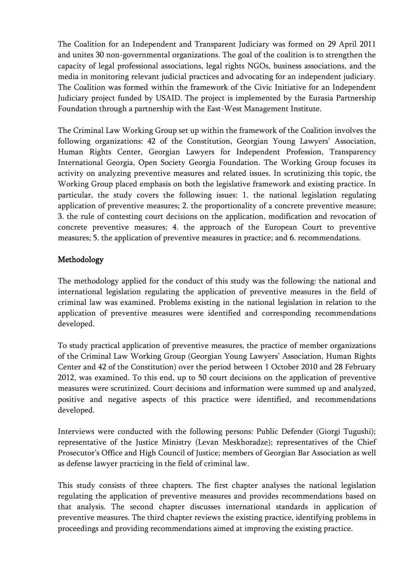The Coalition for an Independent and Transparent Judiciary was formed on 29 April 2011 and unites 30 non-governmental organizations. The goal of the coalition is to strengthen the capacity of legal professional associations, legal rights NGOs, business associations, and the media in monitoring relevant judicial practices and advocating for an independent judiciary. The Coalition was formed within the framework of the Civic Initiative for an Independent Judiciary project funded by USAID. The project is implemented by the Eurasia Partnership Foundation through a partnership with the East-West Management Institute.

The Criminal Law Working Group set up within the framework of the Coalition involves the following organizations: 42 of the Constitution, Georgian Young Lawyers' Association, Human Rights Center, Georgian Lawyers for Independent Profession, Transparency International Georgia, Open Society Georgia Foundation. The Working Group focuses its activity on analyzing preventive measures and related issues. In scrutinizing this topic, the Working Group placed emphasis on both the legislative framework and existing practice. In particular, the study covers the following issues: 1. the national legislation regulating application of preventive measures; 2. the proportionality of a concrete preventive measure; 3. the rule of contesting court decisions on the application, modification and revocation of concrete preventive measures; 4. the approach of the European Court to preventive measures; 5. the application of preventive measures in practice; and 6. recommendations.

# Methodology

The methodology applied for the conduct of this study was the following: the national and international legislation regulating the application of preventive measures in the field of criminal law was examined. Problems existing in the national legislation in relation to the application of preventive measures were identified and corresponding recommendations developed.

To study practical application of preventive measures, the practice of member organizations of the Criminal Law Working Group (Georgian Young Lawyers' Association, Human Rights Center and 42 of the Constitution) over the period between 1 October 2010 and 28 February 2012, was examined. To this end, up to 50 court decisions on the application of preventive measures were scrutinized. Court decisions and information were summed up and analyzed, positive and negative aspects of this practice were identified, and recommendations developed.

Interviews were conducted with the following persons: Public Defender (Giorgi Tugushi); representative of the Justice Ministry (Levan Meskhoradze); representatives of the Chief Prosecutor's Office and High Council of Justice; members of Georgian Bar Association as well as defense lawyer practicing in the field of criminal law.

This study consists of three chapters. The first chapter analyses the national legislation regulating the application of preventive measures and provides recommendations based on that analysis. The second chapter discusses international standards in application of preventive measures. The third chapter reviews the existing practice, identifying problems in proceedings and providing recommendations aimed at improving the existing practice.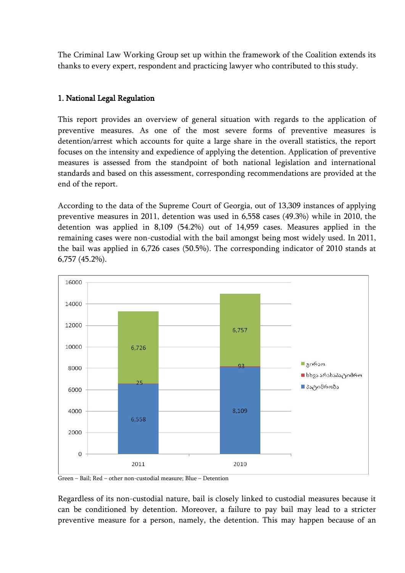The Criminal Law Working Group set up within the framework of the Coalition extends its thanks to every expert, respondent and practicing lawyer who contributed to this study.

### 1. National Legal Regulation

This report provides an overview of general situation with regards to the application of preventive measures. As one of the most severe forms of preventive measures is detention/arrest which accounts for quite a large share in the overall statistics, the report focuses on the intensity and expedience of applying the detention. Application of preventive measures is assessed from the standpoint of both national legislation and international standards and based on this assessment, corresponding recommendations are provided at the end of the report.

According to the data of the Supreme Court of Georgia, out of 13,309 instances of applying preventive measures in 2011, detention was used in 6,558 cases (49.3%) while in 2010, the detention was applied in 8,109 (54.2%) out of 14,959 cases. Measures applied in the remaining cases were non-custodial with the bail amongst being most widely used. In 2011, the bail was applied in 6,726 cases (50.5%). The corresponding indicator of 2010 stands at 6,757 (45.2%).



Green – Bail; Red – other non-custodial measure; Blue – Detention

Regardless of its non-custodial nature, bail is closely linked to custodial measures because it can be conditioned by detention. Moreover, a failure to pay bail may lead to a stricter preventive measure for a person, namely, the detention. This may happen because of an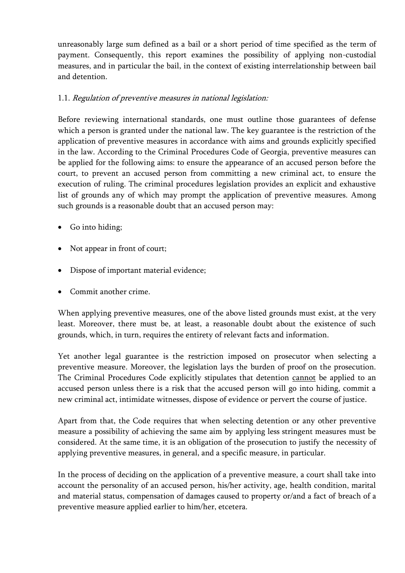unreasonably large sum defined as a bail or a short period of time specified as the term of payment. Consequently, this report examines the possibility of applying non-custodial measures, and in particular the bail, in the context of existing interrelationship between bail and detention.

# 1.1. Regulation of preventive measures in national legislation:

Before reviewing international standards, one must outline those guarantees of defense which a person is granted under the national law. The key guarantee is the restriction of the application of preventive measures in accordance with aims and grounds explicitly specified in the law. According to the Criminal Procedures Code of Georgia, preventive measures can be applied for the following aims: to ensure the appearance of an accused person before the court, to prevent an accused person from committing a new criminal act, to ensure the execution of ruling. The criminal procedures legislation provides an explicit and exhaustive list of grounds any of which may prompt the application of preventive measures. Among such grounds is a reasonable doubt that an accused person may:

- Go into hiding;
- Not appear in front of court;
- Dispose of important material evidence;
- Commit another crime.

When applying preventive measures, one of the above listed grounds must exist, at the very least. Moreover, there must be, at least, a reasonable doubt about the existence of such grounds, which, in turn, requires the entirety of relevant facts and information.

Yet another legal guarantee is the restriction imposed on prosecutor when selecting a preventive measure. Moreover, the legislation lays the burden of proof on the prosecution. The Criminal Procedures Code explicitly stipulates that detention cannot be applied to an accused person unless there is a risk that the accused person will go into hiding, commit a new criminal act, intimidate witnesses, dispose of evidence or pervert the course of justice.

Apart from that, the Code requires that when selecting detention or any other preventive measure a possibility of achieving the same aim by applying less stringent measures must be considered. At the same time, it is an obligation of the prosecution to justify the necessity of applying preventive measures, in general, and a specific measure, in particular.

In the process of deciding on the application of a preventive measure, a court shall take into account the personality of an accused person, his/her activity, age, health condition, marital and material status, compensation of damages caused to property or/and a fact of breach of a preventive measure applied earlier to him/her, etcetera.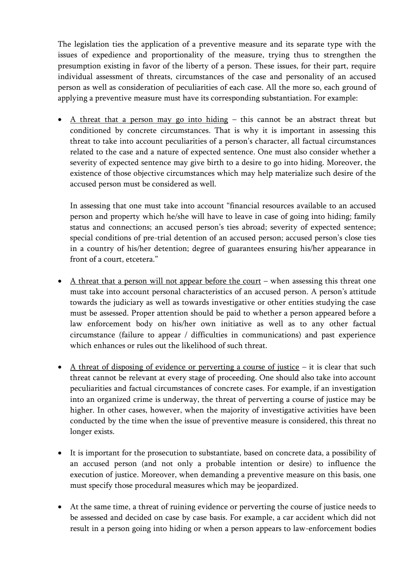The legislation ties the application of a preventive measure and its separate type with the issues of expedience and proportionality of the measure, trying thus to strengthen the presumption existing in favor of the liberty of a person. These issues, for their part, require individual assessment of threats, circumstances of the case and personality of an accused person as well as consideration of peculiarities of each case. All the more so, each ground of applying a preventive measure must have its corresponding substantiation. For example:

 A threat that a person may go into hiding – this cannot be an abstract threat but conditioned by concrete circumstances. That is why it is important in assessing this threat to take into account peculiarities of a person's character, all factual circumstances related to the case and a nature of expected sentence. One must also consider whether a severity of expected sentence may give birth to a desire to go into hiding. Moreover, the existence of those objective circumstances which may help materialize such desire of the accused person must be considered as well.

In assessing that one must take into account "financial resources available to an accused person and property which he/she will have to leave in case of going into hiding; family status and connections; an accused person's ties abroad; severity of expected sentence; special conditions of pre-trial detention of an accused person; accused person's close ties in a country of his/her detention; degree of guarantees ensuring his/her appearance in front of a court, etcetera."

- $\bullet$  A threat that a person will not appear before the court when assessing this threat one must take into account personal characteristics of an accused person. A person's attitude towards the judiciary as well as towards investigative or other entities studying the case must be assessed. Proper attention should be paid to whether a person appeared before a law enforcement body on his/her own initiative as well as to any other factual circumstance (failure to appear / difficulties in communications) and past experience which enhances or rules out the likelihood of such threat.
- $\bullet$  A threat of disposing of evidence or perverting a course of justice it is clear that such threat cannot be relevant at every stage of proceeding. One should also take into account peculiarities and factual circumstances of concrete cases. For example, if an investigation into an organized crime is underway, the threat of perverting a course of justice may be higher. In other cases, however, when the majority of investigative activities have been conducted by the time when the issue of preventive measure is considered, this threat no longer exists.
- It is important for the prosecution to substantiate, based on concrete data, a possibility of an accused person (and not only a probable intention or desire) to influence the execution of justice. Moreover, when demanding a preventive measure on this basis, one must specify those procedural measures which may be jeopardized.
- At the same time, a threat of ruining evidence or perverting the course of justice needs to be assessed and decided on case by case basis. For example, a car accident which did not result in a person going into hiding or when a person appears to law-enforcement bodies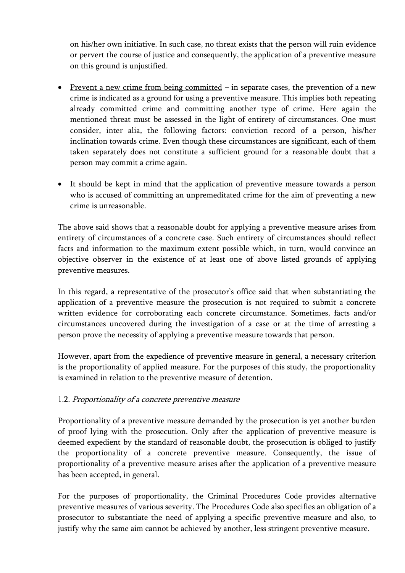on his/her own initiative. In such case, no threat exists that the person will ruin evidence or pervert the course of justice and consequently, the application of a preventive measure on this ground is unjustified.

- Prevent a new crime from being committed  $-$  in separate cases, the prevention of a new crime is indicated as a ground for using a preventive measure. This implies both repeating already committed crime and committing another type of crime. Here again the mentioned threat must be assessed in the light of entirety of circumstances. One must consider, inter alia, the following factors: conviction record of a person, his/her inclination towards crime. Even though these circumstances are significant, each of them taken separately does not constitute a sufficient ground for a reasonable doubt that a person may commit a crime again.
- It should be kept in mind that the application of preventive measure towards a person who is accused of committing an unpremeditated crime for the aim of preventing a new crime is unreasonable.

The above said shows that a reasonable doubt for applying a preventive measure arises from entirety of circumstances of a concrete case. Such entirety of circumstances should reflect facts and information to the maximum extent possible which, in turn, would convince an objective observer in the existence of at least one of above listed grounds of applying preventive measures.

In this regard, a representative of the prosecutor's office said that when substantiating the application of a preventive measure the prosecution is not required to submit a concrete written evidence for corroborating each concrete circumstance. Sometimes, facts and/or circumstances uncovered during the investigation of a case or at the time of arresting a person prove the necessity of applying a preventive measure towards that person.

However, apart from the expedience of preventive measure in general, a necessary criterion is the proportionality of applied measure. For the purposes of this study, the proportionality is examined in relation to the preventive measure of detention.

# 1.2. Proportionality of a concrete preventive measure

Proportionality of a preventive measure demanded by the prosecution is yet another burden of proof lying with the prosecution. Only after the application of preventive measure is deemed expedient by the standard of reasonable doubt, the prosecution is obliged to justify the proportionality of a concrete preventive measure. Consequently, the issue of proportionality of a preventive measure arises after the application of a preventive measure has been accepted, in general.

For the purposes of proportionality, the Criminal Procedures Code provides alternative preventive measures of various severity. The Procedures Code also specifies an obligation of a prosecutor to substantiate the need of applying a specific preventive measure and also, to justify why the same aim cannot be achieved by another, less stringent preventive measure.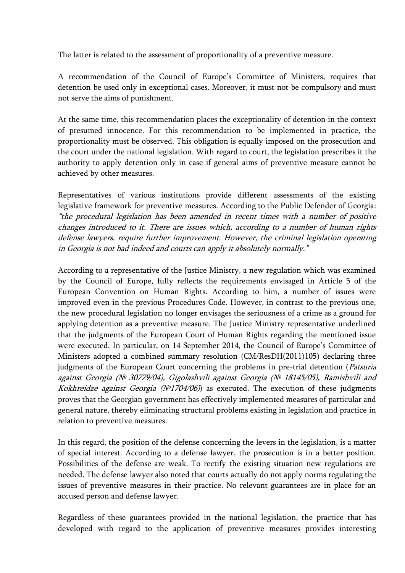The latter is related to the assessment of proportionality of a preventive measure.

A recommendation of the Council of Europe's Committee of Ministers, requires that detention be used only in exceptional cases. Moreover, it must not be compulsory and must not serve the aims of punishment.

At the same time, this recommendation places the exceptionality of detention in the context of presumed innocence. For this recommendation to be implemented in practice, the proportionality must be observed. This obligation is equally imposed on the prosecution and the court under the national legislation. With regard to court, the legislation prescribes it the authority to apply detention only in case if general aims of preventive measure cannot be achieved by other measures.

Representatives of various institutions provide different assessments of the existing legislative framework for preventive measures. According to the Public Defender of Georgia: "the procedural legislation has been amended in recent times with a number of positive changes introduced to it. There are issues which, according to a number of human rights defense lawyers, require further improvement. However, the criminal legislation operating in Georgia is not bad indeed and courts can apply it absolutely normally."

According to a representative of the Justice Ministry, a new regulation which was examined by the Council of Europe, fully reflects the requirements envisaged in Article 5 of the European Convention on Human Rights. According to him, a number of issues were improved even in the previous Procedures Code. However, in contrast to the previous one, the new procedural legislation no longer envisages the seriousness of a crime as a ground for applying detention as a preventive measure. The Justice Ministry representative underlined that the judgments of the European Court of Human Rights regarding the mentioned issue were executed. In particular, on 14 September 2014, the Council of Europe's Committee of Ministers adopted a combined summary resolution (CM/ResDH(2011)105) declaring three judgments of the European Court concerning the problems in pre-trial detention (Patsuria against Georgia (№ 30779/04), Gigolashvili against Georgia (№ 18145/05), Ramishvili and Kokhreidze against Georgia ( $N<sup>0</sup>1704/06$ ) as executed. The execution of these judgments proves that the Georgian government has effectively implemented measures of particular and general nature, thereby eliminating structural problems existing in legislation and practice in relation to preventive measures.

In this regard, the position of the defense concerning the levers in the legislation, is a matter of special interest. According to a defense lawyer, the prosecution is in a better position. Possibilities of the defense are weak. To rectify the existing situation new regulations are needed. The defense lawyer also noted that courts actually do not apply norms regulating the issues of preventive measures in their practice. No relevant guarantees are in place for an accused person and defense lawyer.

Regardless of these guarantees provided in the national legislation, the practice that has developed with regard to the application of preventive measures provides interesting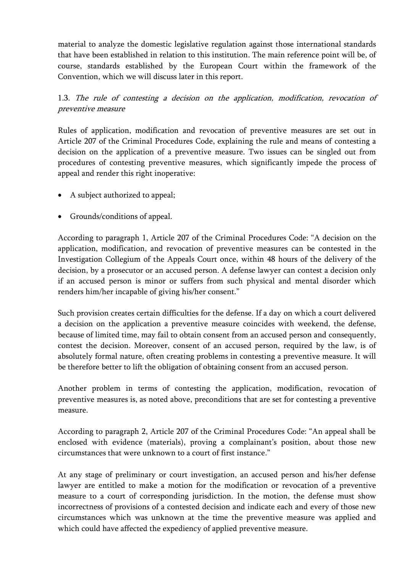material to analyze the domestic legislative regulation against those international standards that have been established in relation to this institution. The main reference point will be, of course, standards established by the European Court within the framework of the Convention, which we will discuss later in this report.

1.3. The rule of contesting a decision on the application, modification, revocation of preventive measure

Rules of application, modification and revocation of preventive measures are set out in Article 207 of the Criminal Procedures Code, explaining the rule and means of contesting a decision on the application of a preventive measure. Two issues can be singled out from procedures of contesting preventive measures, which significantly impede the process of appeal and render this right inoperative:

- A subject authorized to appeal;
- Grounds/conditions of appeal.

According to paragraph 1, Article 207 of the Criminal Procedures Code: "A decision on the application, modification, and revocation of preventive measures can be contested in the Investigation Collegium of the Appeals Court once, within 48 hours of the delivery of the decision, by a prosecutor or an accused person. A defense lawyer can contest a decision only if an accused person is minor or suffers from such physical and mental disorder which renders him/her incapable of giving his/her consent."

Such provision creates certain difficulties for the defense. If a day on which a court delivered a decision on the application a preventive measure coincides with weekend, the defense, because of limited time, may fail to obtain consent from an accused person and consequently, contest the decision. Moreover, consent of an accused person, required by the law, is of absolutely formal nature, often creating problems in contesting a preventive measure. It will be therefore better to lift the obligation of obtaining consent from an accused person.

Another problem in terms of contesting the application, modification, revocation of preventive measures is, as noted above, preconditions that are set for contesting a preventive measure.

According to paragraph 2, Article 207 of the Criminal Procedures Code: "An appeal shall be enclosed with evidence (materials), proving a complainant's position, about those new circumstances that were unknown to a court of first instance."

At any stage of preliminary or court investigation, an accused person and his/her defense lawyer are entitled to make a motion for the modification or revocation of a preventive measure to a court of corresponding jurisdiction. In the motion, the defense must show incorrectness of provisions of a contested decision and indicate each and every of those new circumstances which was unknown at the time the preventive measure was applied and which could have affected the expediency of applied preventive measure.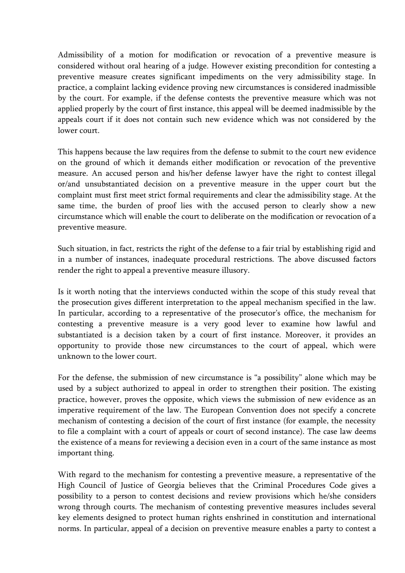Admissibility of a motion for modification or revocation of a preventive measure is considered without oral hearing of a judge. However existing precondition for contesting a preventive measure creates significant impediments on the very admissibility stage. In practice, a complaint lacking evidence proving new circumstances is considered inadmissible by the court. For example, if the defense contests the preventive measure which was not applied properly by the court of first instance, this appeal will be deemed inadmissible by the appeals court if it does not contain such new evidence which was not considered by the lower court.

This happens because the law requires from the defense to submit to the court new evidence on the ground of which it demands either modification or revocation of the preventive measure. An accused person and his/her defense lawyer have the right to contest illegal or/and unsubstantiated decision on a preventive measure in the upper court but the complaint must first meet strict formal requirements and clear the admissibility stage. At the same time, the burden of proof lies with the accused person to clearly show a new circumstance which will enable the court to deliberate on the modification or revocation of a preventive measure.

Such situation, in fact, restricts the right of the defense to a fair trial by establishing rigid and in a number of instances, inadequate procedural restrictions. The above discussed factors render the right to appeal a preventive measure illusory.

Is it worth noting that the interviews conducted within the scope of this study reveal that the prosecution gives different interpretation to the appeal mechanism specified in the law. In particular, according to a representative of the prosecutor's office, the mechanism for contesting a preventive measure is a very good lever to examine how lawful and substantiated is a decision taken by a court of first instance. Moreover, it provides an opportunity to provide those new circumstances to the court of appeal, which were unknown to the lower court.

For the defense, the submission of new circumstance is "a possibility" alone which may be used by a subject authorized to appeal in order to strengthen their position. The existing practice, however, proves the opposite, which views the submission of new evidence as an imperative requirement of the law. The European Convention does not specify a concrete mechanism of contesting a decision of the court of first instance (for example, the necessity to file a complaint with a court of appeals or court of second instance). The case law deems the existence of a means for reviewing a decision even in a court of the same instance as most important thing.

With regard to the mechanism for contesting a preventive measure, a representative of the High Council of Justice of Georgia believes that the Criminal Procedures Code gives a possibility to a person to contest decisions and review provisions which he/she considers wrong through courts. The mechanism of contesting preventive measures includes several key elements designed to protect human rights enshrined in constitution and international norms. In particular, appeal of a decision on preventive measure enables a party to contest a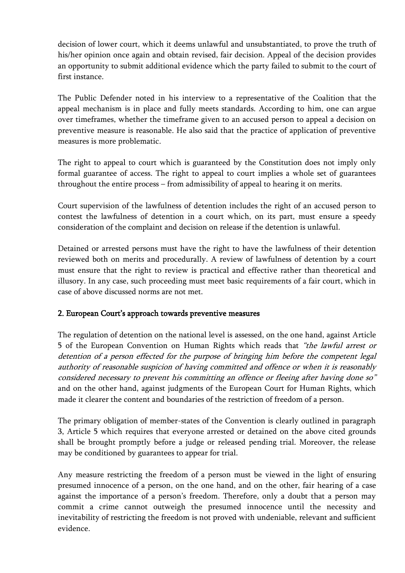decision of lower court, which it deems unlawful and unsubstantiated, to prove the truth of his/her opinion once again and obtain revised, fair decision. Appeal of the decision provides an opportunity to submit additional evidence which the party failed to submit to the court of first instance.

The Public Defender noted in his interview to a representative of the Coalition that the appeal mechanism is in place and fully meets standards. According to him, one can argue over timeframes, whether the timeframe given to an accused person to appeal a decision on preventive measure is reasonable. He also said that the practice of application of preventive measures is more problematic.

The right to appeal to court which is guaranteed by the Constitution does not imply only formal guarantee of access. The right to appeal to court implies a whole set of guarantees throughout the entire process – from admissibility of appeal to hearing it on merits.

Court supervision of the lawfulness of detention includes the right of an accused person to contest the lawfulness of detention in a court which, on its part, must ensure a speedy consideration of the complaint and decision on release if the detention is unlawful.

Detained or arrested persons must have the right to have the lawfulness of their detention reviewed both on merits and procedurally. A review of lawfulness of detention by a court must ensure that the right to review is practical and effective rather than theoretical and illusory. In any case, such proceeding must meet basic requirements of a fair court, which in case of above discussed norms are not met.

# 2. European Court's approach towards preventive measures

The regulation of detention on the national level is assessed, on the one hand, against Article 5 of the European Convention on Human Rights which reads that "the lawful arrest or detention of a person effected for the purpose of bringing him before the competent legal authority of reasonable suspicion of having committed and offence or when it is reasonably considered necessary to prevent his committing an offence or fleeing after having done so" and on the other hand, against judgments of the European Court for Human Rights, which made it clearer the content and boundaries of the restriction of freedom of a person.

The primary obligation of member-states of the Convention is clearly outlined in paragraph 3, Article 5 which requires that everyone arrested or detained on the above cited grounds shall be brought promptly before a judge or released pending trial. Moreover, the release may be conditioned by guarantees to appear for trial.

Any measure restricting the freedom of a person must be viewed in the light of ensuring presumed innocence of a person, on the one hand, and on the other, fair hearing of a case against the importance of a person's freedom. Therefore, only a doubt that a person may commit a crime cannot outweigh the presumed innocence until the necessity and inevitability of restricting the freedom is not proved with undeniable, relevant and sufficient evidence.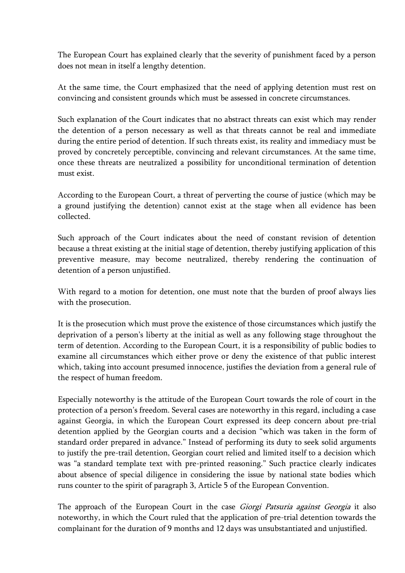The European Court has explained clearly that the severity of punishment faced by a person does not mean in itself a lengthy detention.

At the same time, the Court emphasized that the need of applying detention must rest on convincing and consistent grounds which must be assessed in concrete circumstances.

Such explanation of the Court indicates that no abstract threats can exist which may render the detention of a person necessary as well as that threats cannot be real and immediate during the entire period of detention. If such threats exist, its reality and immediacy must be proved by concretely perceptible, convincing and relevant circumstances. At the same time, once these threats are neutralized a possibility for unconditional termination of detention must exist.

According to the European Court, a threat of perverting the course of justice (which may be a ground justifying the detention) cannot exist at the stage when all evidence has been collected.

Such approach of the Court indicates about the need of constant revision of detention because a threat existing at the initial stage of detention, thereby justifying application of this preventive measure, may become neutralized, thereby rendering the continuation of detention of a person unjustified.

With regard to a motion for detention, one must note that the burden of proof always lies with the prosecution.

It is the prosecution which must prove the existence of those circumstances which justify the deprivation of a person's liberty at the initial as well as any following stage throughout the term of detention. According to the European Court, it is a responsibility of public bodies to examine all circumstances which either prove or deny the existence of that public interest which, taking into account presumed innocence, justifies the deviation from a general rule of the respect of human freedom.

Especially noteworthy is the attitude of the European Court towards the role of court in the protection of a person's freedom. Several cases are noteworthy in this regard, including a case against Georgia, in which the European Court expressed its deep concern about pre-trial detention applied by the Georgian courts and a decision "which was taken in the form of standard order prepared in advance." Instead of performing its duty to seek solid arguments to justify the pre-trail detention, Georgian court relied and limited itself to a decision which was "a standard template text with pre-printed reasoning." Such practice clearly indicates about absence of special diligence in considering the issue by national state bodies which runs counter to the spirit of paragraph 3, Article 5 of the European Convention.

The approach of the European Court in the case *Giorgi Patsuria against Georgia* it also noteworthy, in which the Court ruled that the application of pre-trial detention towards the complainant for the duration of 9 months and 12 days was unsubstantiated and unjustified.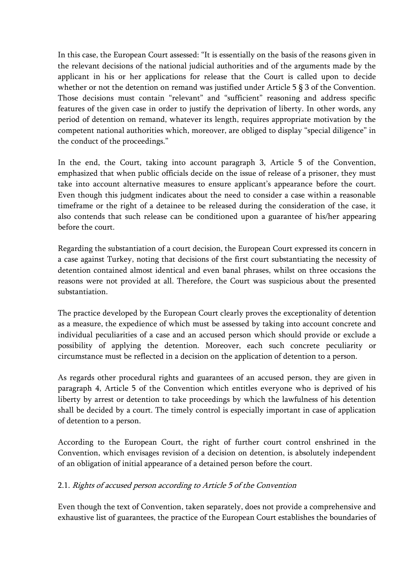In this case, the European Court assessed: "It is essentially on the basis of the reasons given in the relevant decisions of the national judicial authorities and of the arguments made by the applicant in his or her applications for release that the Court is called upon to decide whether or not the detention on remand was justified under Article 5  $\S$  3 of the Convention. Those decisions must contain "relevant" and "sufficient" reasoning and address specific features of the given case in order to justify the deprivation of liberty. In other words, any period of detention on remand, whatever its length, requires appropriate motivation by the competent national authorities which, moreover, are obliged to display "special diligence" in the conduct of the proceedings."

In the end, the Court, taking into account paragraph 3, Article 5 of the Convention, emphasized that when public officials decide on the issue of release of a prisoner, they must take into account alternative measures to ensure applicant's appearance before the court. Even though this judgment indicates about the need to consider a case within a reasonable timeframe or the right of a detainee to be released during the consideration of the case, it also contends that such release can be conditioned upon a guarantee of his/her appearing before the court.

Regarding the substantiation of a court decision, the European Court expressed its concern in a case against Turkey, noting that decisions of the first court substantiating the necessity of detention contained almost identical and even banal phrases, whilst on three occasions the reasons were not provided at all. Therefore, the Court was suspicious about the presented substantiation.

The practice developed by the European Court clearly proves the exceptionality of detention as a measure, the expedience of which must be assessed by taking into account concrete and individual peculiarities of a case and an accused person which should provide or exclude a possibility of applying the detention. Moreover, each such concrete peculiarity or circumstance must be reflected in a decision on the application of detention to a person.

As regards other procedural rights and guarantees of an accused person, they are given in paragraph 4, Article 5 of the Convention which entitles everyone who is deprived of his liberty by arrest or detention to take proceedings by which the lawfulness of his detention shall be decided by a court. The timely control is especially important in case of application of detention to a person.

According to the European Court, the right of further court control enshrined in the Convention, which envisages revision of a decision on detention, is absolutely independent of an obligation of initial appearance of a detained person before the court.

# 2.1. Rights of accused person according to Article 5 of the Convention

Even though the text of Convention, taken separately, does not provide a comprehensive and exhaustive list of guarantees, the practice of the European Court establishes the boundaries of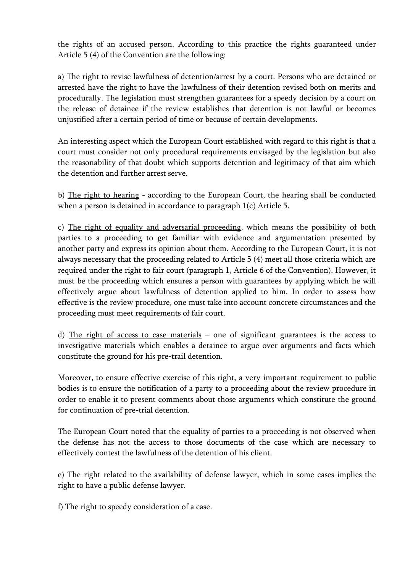the rights of an accused person. According to this practice the rights guaranteed under Article 5 (4) of the Convention are the following:

a) The right to revise lawfulness of detention/arrest by a court. Persons who are detained or arrested have the right to have the lawfulness of their detention revised both on merits and procedurally. The legislation must strengthen guarantees for a speedy decision by a court on the release of detainee if the review establishes that detention is not lawful or becomes unjustified after a certain period of time or because of certain developments.

An interesting aspect which the European Court established with regard to this right is that a court must consider not only procedural requirements envisaged by the legislation but also the reasonability of that doubt which supports detention and legitimacy of that aim which the detention and further arrest serve.

b) The right to hearing - according to the European Court, the hearing shall be conducted when a person is detained in accordance to paragraph 1(c) Article 5.

c) The right of equality and adversarial proceeding, which means the possibility of both parties to a proceeding to get familiar with evidence and argumentation presented by another party and express its opinion about them. According to the European Court, it is not always necessary that the proceeding related to Article 5 (4) meet all those criteria which are required under the right to fair court (paragraph 1, Article 6 of the Convention). However, it must be the proceeding which ensures a person with guarantees by applying which he will effectively argue about lawfulness of detention applied to him. In order to assess how effective is the review procedure, one must take into account concrete circumstances and the proceeding must meet requirements of fair court.

d) The right of access to case materials – one of significant guarantees is the access to investigative materials which enables a detainee to argue over arguments and facts which constitute the ground for his pre-trail detention.

Moreover, to ensure effective exercise of this right, a very important requirement to public bodies is to ensure the notification of a party to a proceeding about the review procedure in order to enable it to present comments about those arguments which constitute the ground for continuation of pre-trial detention.

The European Court noted that the equality of parties to a proceeding is not observed when the defense has not the access to those documents of the case which are necessary to effectively contest the lawfulness of the detention of his client.

e) The right related to the availability of defense lawyer, which in some cases implies the right to have a public defense lawyer.

f) The right to speedy consideration of a case.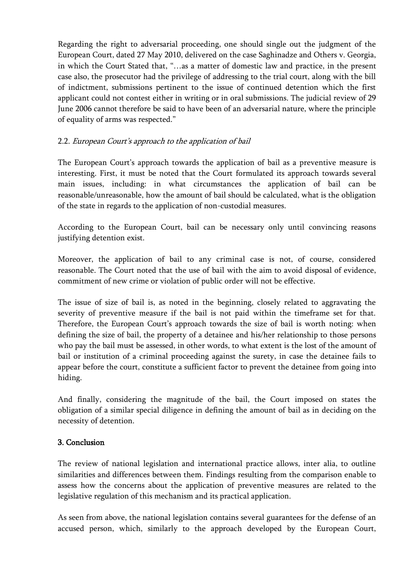Regarding the right to adversarial proceeding, one should single out the judgment of the European Court, dated 27 May 2010, delivered on the case Saghinadze and Others v. Georgia, in which the Court Stated that, "…as a matter of domestic law and practice, in the present case also, the prosecutor had the privilege of addressing to the trial court, along with the bill of indictment, submissions pertinent to the issue of continued detention which the first applicant could not contest either in writing or in oral submissions. The judicial review of 29 June 2006 cannot therefore be said to have been of an adversarial nature, where the principle of equality of arms was respected."

# 2.2. European Court's approach to the application of bail

The European Court's approach towards the application of bail as a preventive measure is interesting. First, it must be noted that the Court formulated its approach towards several main issues, including: in what circumstances the application of bail can be reasonable/unreasonable, how the amount of bail should be calculated, what is the obligation of the state in regards to the application of non-custodial measures.

According to the European Court, bail can be necessary only until convincing reasons justifying detention exist.

Moreover, the application of bail to any criminal case is not, of course, considered reasonable. The Court noted that the use of bail with the aim to avoid disposal of evidence, commitment of new crime or violation of public order will not be effective.

The issue of size of bail is, as noted in the beginning, closely related to aggravating the severity of preventive measure if the bail is not paid within the timeframe set for that. Therefore, the European Court's approach towards the size of bail is worth noting: when defining the size of bail, the property of a detainee and his/her relationship to those persons who pay the bail must be assessed, in other words, to what extent is the lost of the amount of bail or institution of a criminal proceeding against the surety, in case the detainee fails to appear before the court, constitute a sufficient factor to prevent the detainee from going into hiding.

And finally, considering the magnitude of the bail, the Court imposed on states the obligation of a similar special diligence in defining the amount of bail as in deciding on the necessity of detention.

# 3. Conclusion

The review of national legislation and international practice allows, inter alia, to outline similarities and differences between them. Findings resulting from the comparison enable to assess how the concerns about the application of preventive measures are related to the legislative regulation of this mechanism and its practical application.

As seen from above, the national legislation contains several guarantees for the defense of an accused person, which, similarly to the approach developed by the European Court,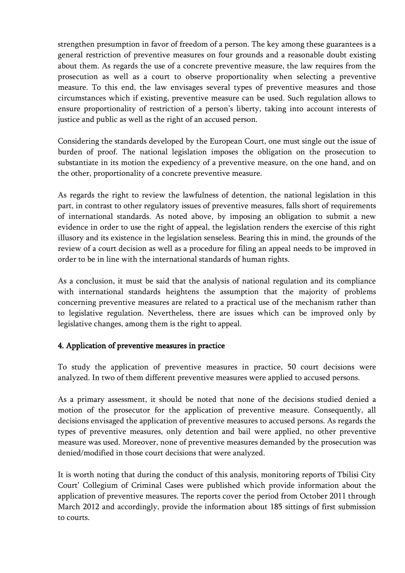strengthen presumption in favor of freedom of a person. The key among these guarantees is a general restriction of preventive measures on four grounds and a reasonable doubt existing about them. As regards the use of a concrete preventive measure, the law requires from the prosecution as well as a court to observe proportionality when selecting a preventive measure. To this end, the law envisages several types of preventive measures and those circumstances which if existing, preventive measure can be used. Such regulation allows to ensure proportionality of restriction of a person's liberty, taking into account interests of justice and public as well as the right of an accused person.

Considering the standards developed by the European Court, one must single out the issue of burden of proof. The national legislation imposes the obligation on the prosecution to substantiate in its motion the expediency of a preventive measure, on the one hand, and on the other, proportionality of a concrete preventive measure.

As regards the right to review the lawfulness of detention, the national legislation in this part, in contrast to other regulatory issues of preventive measures, falls short of requirements of international standards. As noted above, by imposing an obligation to submit a new evidence in order to use the right of appeal, the legislation renders the exercise of this right illusory and its existence in the legislation senseless. Bearing this in mind, the grounds of the review of a court decision as well as a procedure for filing an appeal needs to be improved in order to be in line with the international standards of human rights.

As a conclusion, it must be said that the analysis of national regulation and its compliance with international standards heightens the assumption that the majority of problems concerning preventive measures are related to a practical use of the mechanism rather than to legislative regulation. Nevertheless, there are issues which can be improved only by legislative changes, among them is the right to appeal.

# 4. Application of preventive measures in practice

To study the application of preventive measures in practice, 50 court decisions were analyzed. In two of them different preventive measures were applied to accused persons.

As a primary assessment, it should be noted that none of the decisions studied denied a motion of the prosecutor for the application of preventive measure. Consequently, all decisions envisaged the application of preventive measures to accused persons. As regards the types of preventive measures, only detention and bail were applied, no other preventive measure was used. Moreover, none of preventive measures demanded by the prosecution was denied/modified in those court decisions that were analyzed.

It is worth noting that during the conduct of this analysis, monitoring reports of Tbilisi City Court' Collegium of Criminal Cases were published which provide information about the application of preventive measures. The reports cover the period from October 2011 through March 2012 and accordingly, provide the information about 185 sittings of first submission to courts.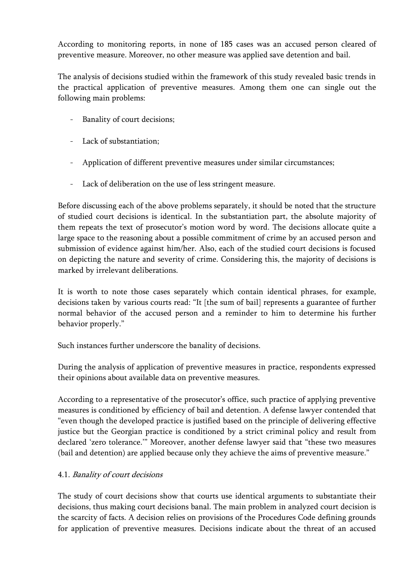According to monitoring reports, in none of 185 cases was an accused person cleared of preventive measure. Moreover, no other measure was applied save detention and bail.

The analysis of decisions studied within the framework of this study revealed basic trends in the practical application of preventive measures. Among them one can single out the following main problems:

- Banality of court decisions;
- Lack of substantiation;
- Application of different preventive measures under similar circumstances;
- Lack of deliberation on the use of less stringent measure.

Before discussing each of the above problems separately, it should be noted that the structure of studied court decisions is identical. In the substantiation part, the absolute majority of them repeats the text of prosecutor's motion word by word. The decisions allocate quite a large space to the reasoning about a possible commitment of crime by an accused person and submission of evidence against him/her. Also, each of the studied court decisions is focused on depicting the nature and severity of crime. Considering this, the majority of decisions is marked by irrelevant deliberations.

It is worth to note those cases separately which contain identical phrases, for example, decisions taken by various courts read: "It [the sum of bail] represents a guarantee of further normal behavior of the accused person and a reminder to him to determine his further behavior properly."

Such instances further underscore the banality of decisions.

During the analysis of application of preventive measures in practice, respondents expressed their opinions about available data on preventive measures.

According to a representative of the prosecutor's office, such practice of applying preventive measures is conditioned by efficiency of bail and detention. A defense lawyer contended that "even though the developed practice is justified based on the principle of delivering effective justice but the Georgian practice is conditioned by a strict criminal policy and result from declared 'zero tolerance.'" Moreover, another defense lawyer said that "these two measures (bail and detention) are applied because only they achieve the aims of preventive measure."

# 4.1. Banality of court decisions

The study of court decisions show that courts use identical arguments to substantiate their decisions, thus making court decisions banal. The main problem in analyzed court decision is the scarcity of facts. A decision relies on provisions of the Procedures Code defining grounds for application of preventive measures. Decisions indicate about the threat of an accused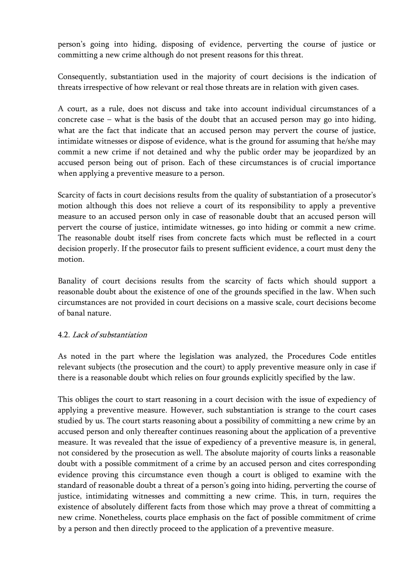person's going into hiding, disposing of evidence, perverting the course of justice or committing a new crime although do not present reasons for this threat.

Consequently, substantiation used in the majority of court decisions is the indication of threats irrespective of how relevant or real those threats are in relation with given cases.

A court, as a rule, does not discuss and take into account individual circumstances of a concrete case – what is the basis of the doubt that an accused person may go into hiding, what are the fact that indicate that an accused person may pervert the course of justice, intimidate witnesses or dispose of evidence, what is the ground for assuming that he/she may commit a new crime if not detained and why the public order may be jeopardized by an accused person being out of prison. Each of these circumstances is of crucial importance when applying a preventive measure to a person.

Scarcity of facts in court decisions results from the quality of substantiation of a prosecutor's motion although this does not relieve a court of its responsibility to apply a preventive measure to an accused person only in case of reasonable doubt that an accused person will pervert the course of justice, intimidate witnesses, go into hiding or commit a new crime. The reasonable doubt itself rises from concrete facts which must be reflected in a court decision properly. If the prosecutor fails to present sufficient evidence, a court must deny the motion.

Banality of court decisions results from the scarcity of facts which should support a reasonable doubt about the existence of one of the grounds specified in the law. When such circumstances are not provided in court decisions on a massive scale, court decisions become of banal nature.

#### 4.2. Lack of substantiation

As noted in the part where the legislation was analyzed, the Procedures Code entitles relevant subjects (the prosecution and the court) to apply preventive measure only in case if there is a reasonable doubt which relies on four grounds explicitly specified by the law.

This obliges the court to start reasoning in a court decision with the issue of expediency of applying a preventive measure. However, such substantiation is strange to the court cases studied by us. The court starts reasoning about a possibility of committing a new crime by an accused person and only thereafter continues reasoning about the application of a preventive measure. It was revealed that the issue of expediency of a preventive measure is, in general, not considered by the prosecution as well. The absolute majority of courts links a reasonable doubt with a possible commitment of a crime by an accused person and cites corresponding evidence proving this circumstance even though a court is obliged to examine with the standard of reasonable doubt a threat of a person's going into hiding, perverting the course of justice, intimidating witnesses and committing a new crime. This, in turn, requires the existence of absolutely different facts from those which may prove a threat of committing a new crime. Nonetheless, courts place emphasis on the fact of possible commitment of crime by a person and then directly proceed to the application of a preventive measure.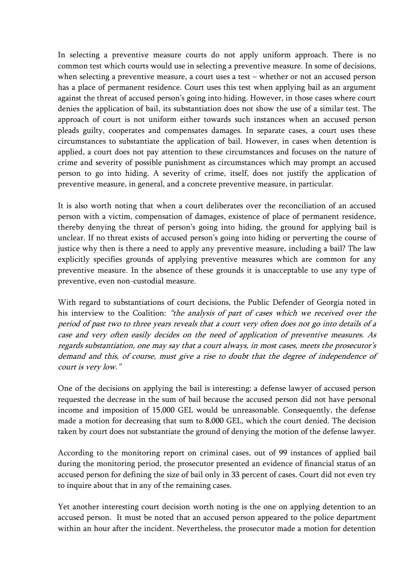In selecting a preventive measure courts do not apply uniform approach. There is no common test which courts would use in selecting a preventive measure. In some of decisions, when selecting a preventive measure, a court uses a test – whether or not an accused person has a place of permanent residence. Court uses this test when applying bail as an argument against the threat of accused person's going into hiding. However, in those cases where court denies the application of bail, its substantiation does not show the use of a similar test. The approach of court is not uniform either towards such instances when an accused person pleads guilty, cooperates and compensates damages. In separate cases, a court uses these circumstances to substantiate the application of bail. However, in cases when detention is applied, a court does not pay attention to these circumstances and focuses on the nature of crime and severity of possible punishment as circumstances which may prompt an accused person to go into hiding. A severity of crime, itself, does not justify the application of preventive measure, in general, and a concrete preventive measure, in particular.

It is also worth noting that when a court deliberates over the reconciliation of an accused person with a victim, compensation of damages, existence of place of permanent residence, thereby denying the threat of person's going into hiding, the ground for applying bail is unclear. If no threat exists of accused person's going into hiding or perverting the course of justice why then is there a need to apply any preventive measure, including a bail? The law explicitly specifies grounds of applying preventive measures which are common for any preventive measure. In the absence of these grounds it is unacceptable to use any type of preventive, even non-custodial measure.

With regard to substantiations of court decisions, the Public Defender of Georgia noted in his interview to the Coalition: "the analysis of part of cases which we received over the period of past two to three years reveals that a court very often does not go into details of a case and very often easily decides on the need of application of preventive measures. As regards substantiation, one may say that a court always, in most cases, meets the prosecutor's demand and this, of course, must give a rise to doubt that the degree of independence of court is very low."

One of the decisions on applying the bail is interesting: a defense lawyer of accused person requested the decrease in the sum of bail because the accused person did not have personal income and imposition of 15,000 GEL would be unreasonable. Consequently, the defense made a motion for decreasing that sum to 8,000 GEL, which the court denied. The decision taken by court does not substantiate the ground of denying the motion of the defense lawyer.

According to the monitoring report on criminal cases, out of 99 instances of applied bail during the monitoring period, the prosecutor presented an evidence of financial status of an accused person for defining the size of bail only in 33 percent of cases. Court did not even try to inquire about that in any of the remaining cases.

Yet another interesting court decision worth noting is the one on applying detention to an accused person. It must be noted that an accused person appeared to the police department within an hour after the incident. Nevertheless, the prosecutor made a motion for detention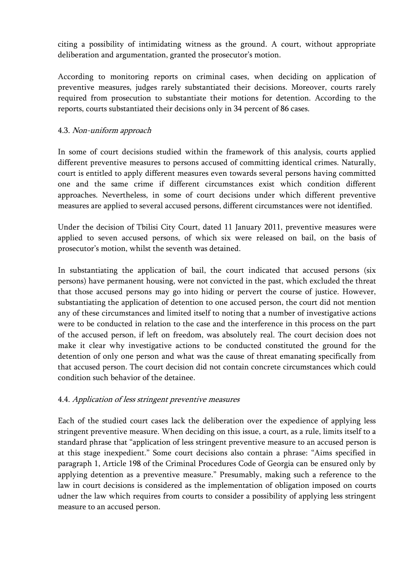citing a possibility of intimidating witness as the ground. A court, without appropriate deliberation and argumentation, granted the prosecutor's motion.

According to monitoring reports on criminal cases, when deciding on application of preventive measures, judges rarely substantiated their decisions. Moreover, courts rarely required from prosecution to substantiate their motions for detention. According to the reports, courts substantiated their decisions only in 34 percent of 86 cases.

### 4.3. Non-uniform approach

In some of court decisions studied within the framework of this analysis, courts applied different preventive measures to persons accused of committing identical crimes. Naturally, court is entitled to apply different measures even towards several persons having committed one and the same crime if different circumstances exist which condition different approaches. Nevertheless, in some of court decisions under which different preventive measures are applied to several accused persons, different circumstances were not identified.

Under the decision of Tbilisi City Court, dated 11 January 2011, preventive measures were applied to seven accused persons, of which six were released on bail, on the basis of prosecutor's motion, whilst the seventh was detained.

In substantiating the application of bail, the court indicated that accused persons (six persons) have permanent housing, were not convicted in the past, which excluded the threat that those accused persons may go into hiding or pervert the course of justice. However, substantiating the application of detention to one accused person, the court did not mention any of these circumstances and limited itself to noting that a number of investigative actions were to be conducted in relation to the case and the interference in this process on the part of the accused person, if left on freedom, was absolutely real. The court decision does not make it clear why investigative actions to be conducted constituted the ground for the detention of only one person and what was the cause of threat emanating specifically from that accused person. The court decision did not contain concrete circumstances which could condition such behavior of the detainee.

#### 4.4. Application of less stringent preventive measures

Each of the studied court cases lack the deliberation over the expedience of applying less stringent preventive measure. When deciding on this issue, a court, as a rule, limits itself to a standard phrase that "application of less stringent preventive measure to an accused person is at this stage inexpedient." Some court decisions also contain a phrase: "Aims specified in paragraph 1, Article 198 of the Criminal Procedures Code of Georgia can be ensured only by applying detention as a preventive measure." Presumably, making such a reference to the law in court decisions is considered as the implementation of obligation imposed on courts udner the law which requires from courts to consider a possibility of applying less stringent measure to an accused person.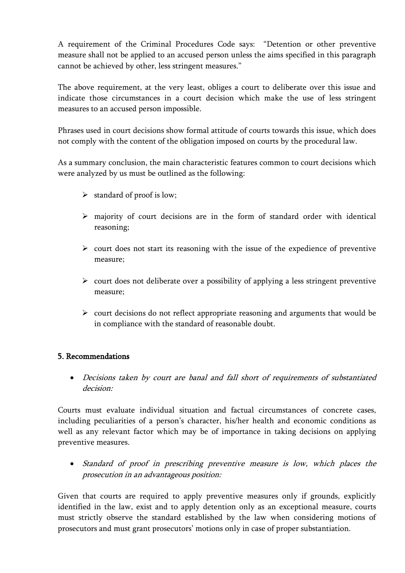A requirement of the Criminal Procedures Code says: "Detention or other preventive measure shall not be applied to an accused person unless the aims specified in this paragraph cannot be achieved by other, less stringent measures."

The above requirement, at the very least, obliges a court to deliberate over this issue and indicate those circumstances in a court decision which make the use of less stringent measures to an accused person impossible.

Phrases used in court decisions show formal attitude of courts towards this issue, which does not comply with the content of the obligation imposed on courts by the procedural law.

As a summary conclusion, the main characteristic features common to court decisions which were analyzed by us must be outlined as the following:

- $\triangleright$  standard of proof is low;
- $\triangleright$  majority of court decisions are in the form of standard order with identical reasoning;
- $\triangleright$  court does not start its reasoning with the issue of the expedience of preventive measure;
- $\triangleright$  court does not deliberate over a possibility of applying a less stringent preventive measure;
- $\triangleright$  court decisions do not reflect appropriate reasoning and arguments that would be in compliance with the standard of reasonable doubt.

# 5. Recommendations

 Decisions taken by court are banal and fall short of requirements of substantiated decision:

Courts must evaluate individual situation and factual circumstances of concrete cases, including peculiarities of a person's character, his/her health and economic conditions as well as any relevant factor which may be of importance in taking decisions on applying preventive measures.

 Standard of proof in prescribing preventive measure is low, which places the prosecution in an advantageous position:

Given that courts are required to apply preventive measures only if grounds, explicitly identified in the law, exist and to apply detention only as an exceptional measure, courts must strictly observe the standard established by the law when considering motions of prosecutors and must grant prosecutors' motions only in case of proper substantiation.